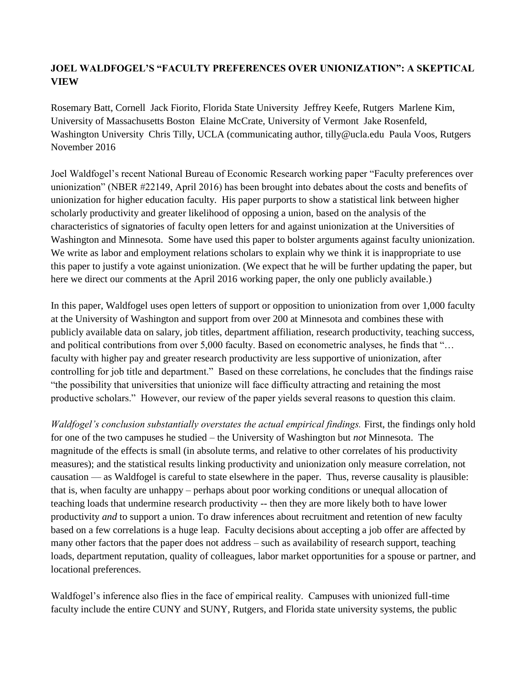## **JOEL WALDFOGEL'S "FACULTY PREFERENCES OVER UNIONIZATION": A SKEPTICAL VIEW**

Rosemary Batt, Cornell Jack Fiorito, Florida State University Jeffrey Keefe, Rutgers Marlene Kim, University of Massachusetts Boston Elaine McCrate, University of Vermont Jake Rosenfeld, Washington University Chris Tilly, UCLA (communicating author, tilly@ucla.edu Paula Voos, Rutgers November 2016

Joel Waldfogel's recent National Bureau of Economic Research working paper "Faculty preferences over unionization" (NBER #22149, April 2016) has been brought into debates about the costs and benefits of unionization for higher education faculty. His paper purports to show a statistical link between higher scholarly productivity and greater likelihood of opposing a union, based on the analysis of the characteristics of signatories of faculty open letters for and against unionization at the Universities of Washington and Minnesota. Some have used this paper to bolster arguments against faculty unionization. We write as labor and employment relations scholars to explain why we think it is inappropriate to use this paper to justify a vote against unionization. (We expect that he will be further updating the paper, but here we direct our comments at the April 2016 working paper, the only one publicly available.)

In this paper, Waldfogel uses open letters of support or opposition to unionization from over 1,000 faculty at the University of Washington and support from over 200 at Minnesota and combines these with publicly available data on salary, job titles, department affiliation, research productivity, teaching success, and political contributions from over 5,000 faculty. Based on econometric analyses, he finds that "… faculty with higher pay and greater research productivity are less supportive of unionization, after controlling for job title and department." Based on these correlations, he concludes that the findings raise "the possibility that universities that unionize will face difficulty attracting and retaining the most productive scholars." However, our review of the paper yields several reasons to question this claim.

*Waldfogel's conclusion substantially overstates the actual empirical findings.* First, the findings only hold for one of the two campuses he studied – the University of Washington but *not* Minnesota. The magnitude of the effects is small (in absolute terms, and relative to other correlates of his productivity measures); and the statistical results linking productivity and unionization only measure correlation, not causation — as Waldfogel is careful to state elsewhere in the paper. Thus, reverse causality is plausible: that is, when faculty are unhappy – perhaps about poor working conditions or unequal allocation of teaching loads that undermine research productivity -- then they are more likely both to have lower productivity *and* to support a union. To draw inferences about recruitment and retention of new faculty based on a few correlations is a huge leap. Faculty decisions about accepting a job offer are affected by many other factors that the paper does not address – such as availability of research support, teaching loads, department reputation, quality of colleagues, labor market opportunities for a spouse or partner, and locational preferences.

Waldfogel's inference also flies in the face of empirical reality. Campuses with unionized full-time faculty include the entire CUNY and SUNY, Rutgers, and Florida state university systems, the public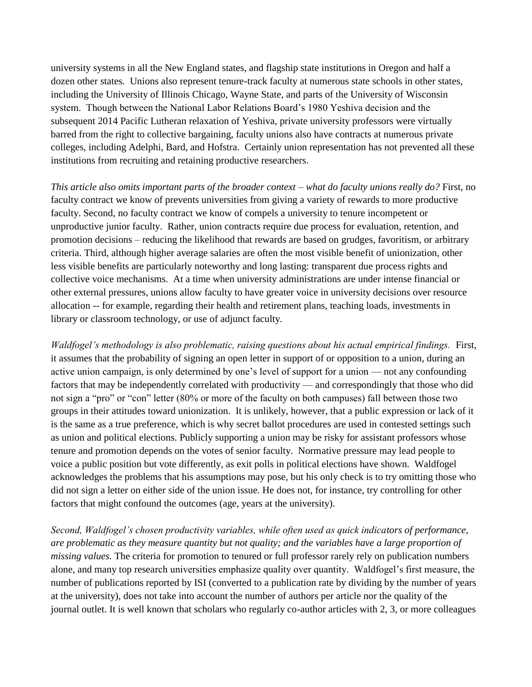university systems in all the New England states, and flagship state institutions in Oregon and half a dozen other states. Unions also represent tenure-track faculty at numerous state schools in other states, including the University of Illinois Chicago, Wayne State, and parts of the University of Wisconsin system. Though between the National Labor Relations Board's 1980 Yeshiva decision and the subsequent 2014 Pacific Lutheran relaxation of Yeshiva, private university professors were virtually barred from the right to collective bargaining, faculty unions also have contracts at numerous private colleges, including Adelphi, Bard, and Hofstra. Certainly union representation has not prevented all these institutions from recruiting and retaining productive researchers.

*This article also omits important parts of the broader context – what do faculty unions really do?* First, no faculty contract we know of prevents universities from giving a variety of rewards to more productive faculty. Second, no faculty contract we know of compels a university to tenure incompetent or unproductive junior faculty. Rather, union contracts require due process for evaluation, retention, and promotion decisions – reducing the likelihood that rewards are based on grudges, favoritism, or arbitrary criteria. Third, although higher average salaries are often the most visible benefit of unionization, other less visible benefits are particularly noteworthy and long lasting: transparent due process rights and collective voice mechanisms. At a time when university administrations are under intense financial or other external pressures, unions allow faculty to have greater voice in university decisions over resource allocation -- for example, regarding their health and retirement plans, teaching loads, investments in library or classroom technology, or use of adjunct faculty.

*Waldfogel's methodology is also problematic, raising questions about his actual empirical findings.* First, it assumes that the probability of signing an open letter in support of or opposition to a union, during an active union campaign, is only determined by one's level of support for a union — not any confounding factors that may be independently correlated with productivity — and correspondingly that those who did not sign a "pro" or "con" letter (80% or more of the faculty on both campuses) fall between those two groups in their attitudes toward unionization. It is unlikely, however, that a public expression or lack of it is the same as a true preference, which is why secret ballot procedures are used in contested settings such as union and political elections. Publicly supporting a union may be risky for assistant professors whose tenure and promotion depends on the votes of senior faculty. Normative pressure may lead people to voice a public position but vote differently, as exit polls in political elections have shown. Waldfogel acknowledges the problems that his assumptions may pose, but his only check is to try omitting those who did not sign a letter on either side of the union issue. He does not, for instance, try controlling for other factors that might confound the outcomes (age, years at the university).

*Second, Waldfogel's chosen productivity variables, while often used as quick indicators of performance, are problematic as they measure quantity but not quality; and the variables have a large proportion of missing values.* The criteria for promotion to tenured or full professor rarely rely on publication numbers alone, and many top research universities emphasize quality over quantity. Waldfogel's first measure, the number of publications reported by ISI (converted to a publication rate by dividing by the number of years at the university), does not take into account the number of authors per article nor the quality of the journal outlet. It is well known that scholars who regularly co-author articles with 2, 3, or more colleagues